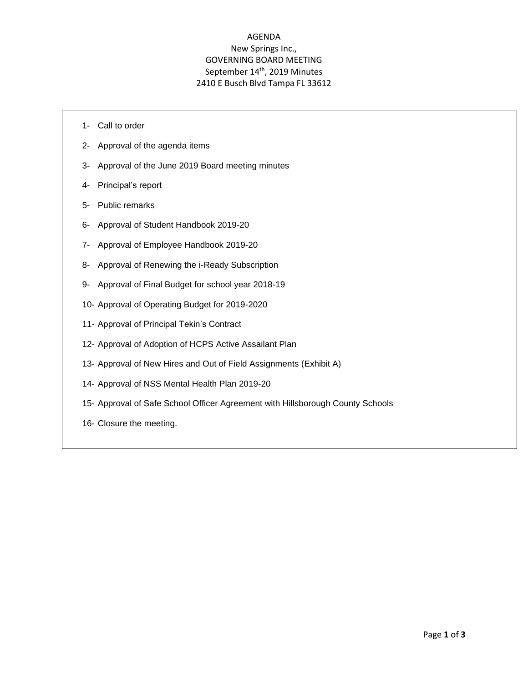## AGENDA New Springs Inc., GOVERNING BOARD MEETING September 14<sup>th</sup>, 2019 Minutes 2410 E Busch Blvd Tampa FL 33612

- 1- Call to order
- 2- Approval of the agenda items
- 3- Approval of the June 2019 Board meeting minutes
- 4- Principal's report
- 5- Public remarks
- 6- Approval of Student Handbook 2019-20
- 7- Approval of Employee Handbook 2019-20
- 8- Approval of Renewing the i-Ready Subscription
- 9- Approval of Final Budget for school year 2018-19
- 10- Approval of Operating Budget for 2019-2020
- 11- Approval of Principal Tekin's Contract
- 12- Approval of Adoption of HCPS Active Assailant Plan
- 13- Approval of New Hires and Out of Field Assignments (Exhibit A)
- 14- Approval of NSS Mental Health Plan 2019-20
- 15- Approval of Safe School Officer Agreement with Hillsborough County Schools
- 16- Closure the meeting.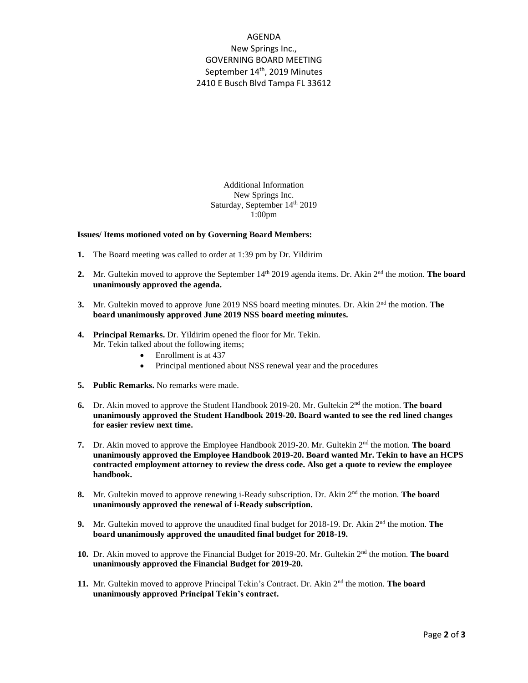## AGENDA New Springs Inc., GOVERNING BOARD MEETING September 14<sup>th</sup>, 2019 Minutes 2410 E Busch Blvd Tampa FL 33612

Additional Information New Springs Inc. Saturday, September 14<sup>th</sup> 2019 1:00pm

## **Issues/ Items motioned voted on by Governing Board Members:**

- **1.** The Board meeting was called to order at 1:39 pm by Dr. Yildirim
- **2.** Mr. Gultekin moved to approve the September 14<sup>th</sup> 2019 agenda items. Dr. Akin 2<sup>nd</sup> the motion. **The board unanimously approved the agenda.**
- **3.** Mr. Gultekin moved to approve June 2019 NSS board meeting minutes. Dr. Akin 2<sup>nd</sup> the motion. **The board unanimously approved June 2019 NSS board meeting minutes.**
- **4. Principal Remarks.** Dr. Yildirim opened the floor for Mr. Tekin. Mr. Tekin talked about the following items;
	- Enrollment is at 437
	- Principal mentioned about NSS renewal year and the procedures
- **5. Public Remarks.** No remarks were made.
- 6. Dr. Akin moved to approve the Student Handbook 2019-20. Mr. Gultekin 2<sup>nd</sup> the motion. **The board unanimously approved the Student Handbook 2019-20. Board wanted to see the red lined changes for easier review next time.**
- **7.** Dr. Akin moved to approve the Employee Handbook 2019-20. Mr. Gultekin 2nd the motion. **The board unanimously approved the Employee Handbook 2019-20. Board wanted Mr. Tekin to have an HCPS contracted employment attorney to review the dress code. Also get a quote to review the employee handbook.**
- 8. Mr. Gultekin moved to approve renewing i-Ready subscription. Dr. Akin 2<sup>nd</sup> the motion. **The board unanimously approved the renewal of i-Ready subscription.**
- **9.** Mr. Gultekin moved to approve the unaudited final budget for 2018-19. Dr. Akin 2<sup>nd</sup> the motion. **The board unanimously approved the unaudited final budget for 2018-19.**
- 10. Dr. Akin moved to approve the Financial Budget for 2019-20. Mr. Gultekin 2<sup>nd</sup> the motion. The board **unanimously approved the Financial Budget for 2019-20.**
- **11.** Mr. Gultekin moved to approve Principal Tekin's Contract. Dr. Akin 2nd the motion. **The board unanimously approved Principal Tekin's contract.**